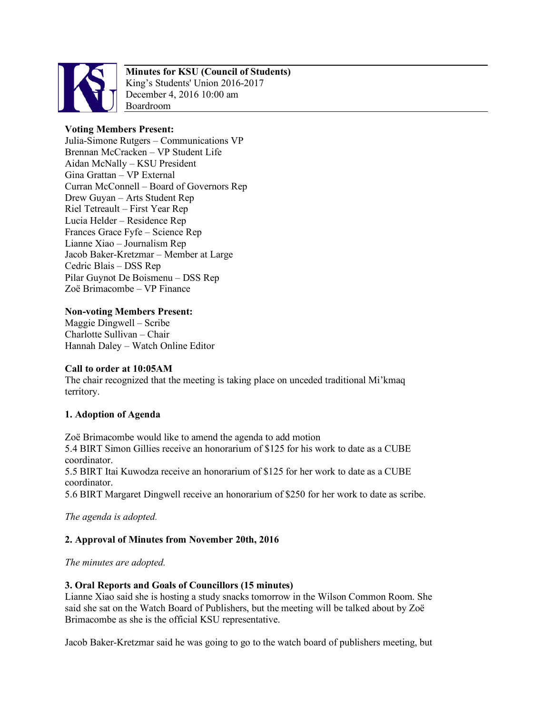

# **Minutes for KSU (Council of Students)**

King's Students' Union 2016-2017 December 4, 2016 10:00 am Boardroom

## **Voting Members Present:**

Julia-Simone Rutgers – Communications VP Brennan McCracken – VP Student Life Aidan McNally – KSU President Gina Grattan – VP External Curran McConnell – Board of Governors Rep Drew Guyan – Arts Student Rep Riel Tetreault – First Year Rep Lucia Helder – Residence Rep Frances Grace Fyfe – Science Rep Lianne Xiao – Journalism Rep Jacob Baker-Kretzmar – Member at Large Cedric Blais – DSS Rep Pilar Guynot De Boismenu – DSS Rep Zoë Brimacombe – VP Finance

**Non-voting Members Present:** Maggie Dingwell – Scribe Charlotte Sullivan – Chair Hannah Daley – Watch Online Editor

## **Call to order at 10:05AM**

The chair recognized that the meeting is taking place on unceded traditional Mi'kmaq territory.

## **1. Adoption of Agenda**

Zoë Brimacombe would like to amend the agenda to add motion 5.4 BIRT Simon Gillies receive an honorarium of \$125 for his work to date as a CUBE coordinator. 5.5 BIRT Itai Kuwodza receive an honorarium of \$125 for her work to date as a CUBE coordinator.

5.6 BIRT Margaret Dingwell receive an honorarium of \$250 for her work to date as scribe.

*The agenda is adopted.*

# **2. Approval of Minutes from November 20th, 2016**

*The minutes are adopted.*

## **3. Oral Reports and Goals of Councillors (15 minutes)**

Lianne Xiao said she is hosting a study snacks tomorrow in the Wilson Common Room. She said she sat on the Watch Board of Publishers, but the meeting will be talked about by Zoë Brimacombe as she is the official KSU representative.

Jacob Baker-Kretzmar said he was going to go to the watch board of publishers meeting, but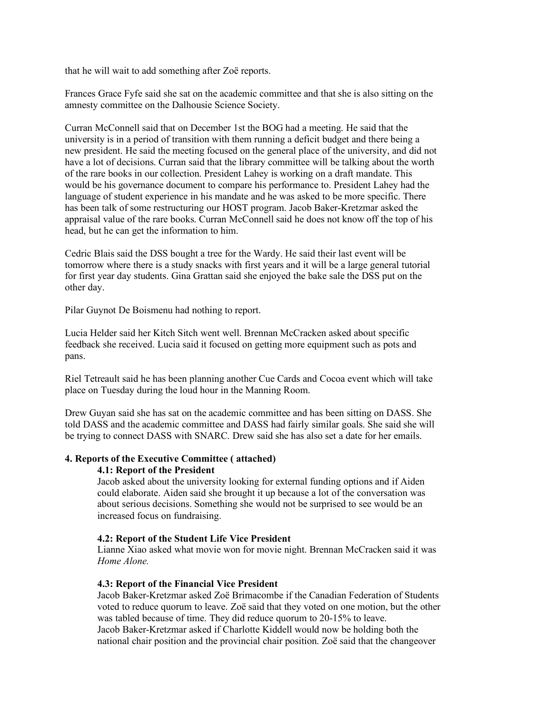that he will wait to add something after Zoë reports.

Frances Grace Fyfe said she sat on the academic committee and that she is also sitting on the amnesty committee on the Dalhousie Science Society.

Curran McConnell said that on December 1st the BOG had a meeting. He said that the university is in a period of transition with them running a deficit budget and there being a new president. He said the meeting focused on the general place of the university, and did not have a lot of decisions. Curran said that the library committee will be talking about the worth of the rare books in our collection. President Lahey is working on a draft mandate. This would be his governance document to compare his performance to. President Lahey had the language of student experience in his mandate and he was asked to be more specific. There has been talk of some restructuring our HOST program. Jacob Baker-Kretzmar asked the appraisal value of the rare books. Curran McConnell said he does not know off the top of his head, but he can get the information to him.

Cedric Blais said the DSS bought a tree for the Wardy. He said their last event will be tomorrow where there is a study snacks with first years and it will be a large general tutorial for first year day students. Gina Grattan said she enjoyed the bake sale the DSS put on the other day.

Pilar Guynot De Boismenu had nothing to report.

Lucia Helder said her Kitch Sitch went well. Brennan McCracken asked about specific feedback she received. Lucia said it focused on getting more equipment such as pots and pans.

Riel Tetreault said he has been planning another Cue Cards and Cocoa event which will take place on Tuesday during the loud hour in the Manning Room.

Drew Guyan said she has sat on the academic committee and has been sitting on DASS. She told DASS and the academic committee and DASS had fairly similar goals. She said she will be trying to connect DASS with SNARC. Drew said she has also set a date for her emails.

## **4. Reports of the Executive Committee ( attached)**

#### **4.1: Report of the President**

Jacob asked about the university looking for external funding options and if Aiden could elaborate. Aiden said she brought it up because a lot of the conversation was about serious decisions. Something she would not be surprised to see would be an increased focus on fundraising.

#### **4.2: Report of the Student Life Vice President**

Lianne Xiao asked what movie won for movie night. Brennan McCracken said it was *Home Alone.*

#### **4.3: Report of the Financial Vice President**

Jacob Baker-Kretzmar asked Zoë Brimacombe if the Canadian Federation of Students voted to reduce quorum to leave. Zoë said that they voted on one motion, but the other was tabled because of time. They did reduce quorum to 20-15% to leave.

Jacob Baker-Kretzmar asked if Charlotte Kiddell would now be holding both the national chair position and the provincial chair position. Zoë said that the changeover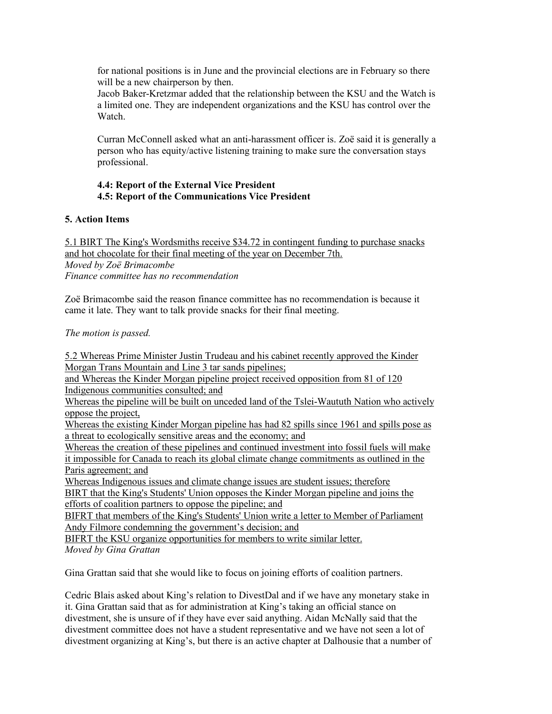for national positions is in June and the provincial elections are in February so there will be a new chairperson by then.

Jacob Baker-Kretzmar added that the relationship between the KSU and the Watch is a limited one. They are independent organizations and the KSU has control over the Watch.

Curran McConnell asked what an anti-harassment officer is. Zoë said it is generally a person who has equity/active listening training to make sure the conversation stays professional.

## **4.4: Report of the External Vice President 4.5: Report of the Communications Vice President**

## **5. Action Items**

5.1 BIRT The King's Wordsmiths receive \$34.72 in contingent funding to purchase snacks and hot chocolate for their final meeting of the year on December 7th. *Moved by Zoë Brimacombe Finance committee has no recommendation*

Zoë Brimacombe said the reason finance committee has no recommendation is because it came it late. They want to talk provide snacks for their final meeting.

## *The motion is passed.*

5.2 Whereas Prime Minister Justin Trudeau and his cabinet recently approved the Kinder Morgan Trans Mountain and Line 3 tar sands pipelines; and Whereas the Kinder Morgan pipeline project received opposition from 81 of 120 Indigenous communities consulted; and Whereas the pipeline will be built on unceded land of the Tslei-Waututh Nation who actively oppose the project, Whereas the existing Kinder Morgan pipeline has had 82 spills since 1961 and spills pose as a threat to ecologically sensitive areas and the economy; and Whereas the creation of these pipelines and continued investment into fossil fuels will make it impossible for Canada to reach its global climate change commitments as outlined in the Paris agreement; and Whereas Indigenous issues and climate change issues are student issues; therefore BIRT that the King's Students' Union opposes the Kinder Morgan pipeline and joins the efforts of coalition partners to oppose the pipeline; and BIFRT that members of the King's Students' Union write a letter to Member of Parliament Andy Filmore condemning the government's decision; and BIFRT the KSU organize opportunities for members to write similar letter. *Moved by Gina Grattan*

Gina Grattan said that she would like to focus on joining efforts of coalition partners.

Cedric Blais asked about King's relation to DivestDal and if we have any monetary stake in it. Gina Grattan said that as for administration at King's taking an official stance on divestment, she is unsure of if they have ever said anything. Aidan McNally said that the divestment committee does not have a student representative and we have not seen a lot of divestment organizing at King's, but there is an active chapter at Dalhousie that a number of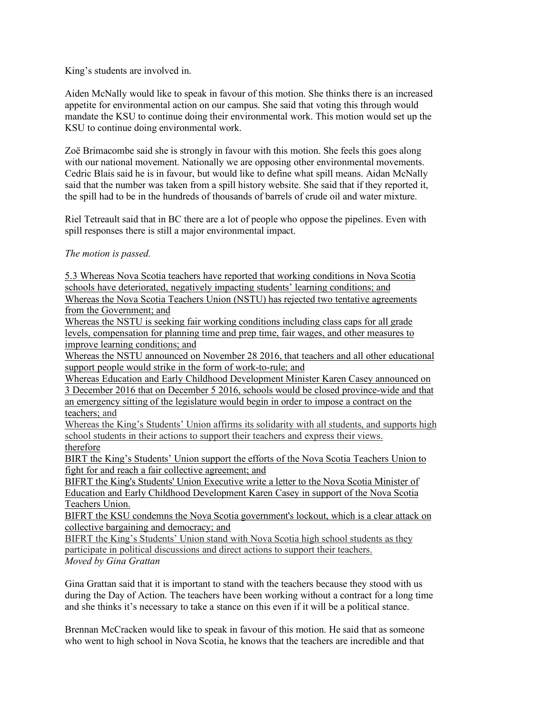King's students are involved in.

Aiden McNally would like to speak in favour of this motion. She thinks there is an increased appetite for environmental action on our campus. She said that voting this through would mandate the KSU to continue doing their environmental work. This motion would set up the KSU to continue doing environmental work.

Zoë Brimacombe said she is strongly in favour with this motion. She feels this goes along with our national movement. Nationally we are opposing other environmental movements. Cedric Blais said he is in favour, but would like to define what spill means. Aidan McNally said that the number was taken from a spill history website. She said that if they reported it, the spill had to be in the hundreds of thousands of barrels of crude oil and water mixture.

Riel Tetreault said that in BC there are a lot of people who oppose the pipelines. Even with spill responses there is still a major environmental impact.

## *The motion is passed.*

5.3 Whereas Nova Scotia teachers have reported that working conditions in Nova Scotia schools have deteriorated, negatively impacting students' learning conditions; and Whereas the Nova Scotia Teachers Union (NSTU) has rejected two tentative agreements from the Government; and

Whereas the NSTU is seeking fair working conditions including class caps for all grade levels, compensation for planning time and prep time, fair wages, and other measures to improve learning conditions; and

Whereas the NSTU announced on November 28 2016, that teachers and all other educational support people would strike in the form of work-to-rule; and

Whereas Education and Early Childhood Development Minister Karen Casey announced on 3 December 2016 that on December 5 2016, schools would be closed province-wide and that an emergency sitting of the legislature would begin in order to impose a contract on the teachers; and

Whereas the King's Students' Union affirms its solidarity with all students, and supports high school students in their actions to support their teachers and express their views. therefore

BIRT the King's Students' Union support the efforts of the Nova Scotia Teachers Union to fight for and reach a fair collective agreement; and

BIFRT the King's Students' Union Executive write a letter to the Nova Scotia Minister of Education and Early Childhood Development Karen Casey in support of the Nova Scotia Teachers Union.

BIFRT the KSU condemns the Nova Scotia government's lockout, which is a clear attack on collective bargaining and democracy; and

BIFRT the King's Students' Union stand with Nova Scotia high school students as they participate in political discussions and direct actions to support their teachers. *Moved by Gina Grattan*

Gina Grattan said that it is important to stand with the teachers because they stood with us during the Day of Action. The teachers have been working without a contract for a long time and she thinks it's necessary to take a stance on this even if it will be a political stance.

Brennan McCracken would like to speak in favour of this motion. He said that as someone who went to high school in Nova Scotia, he knows that the teachers are incredible and that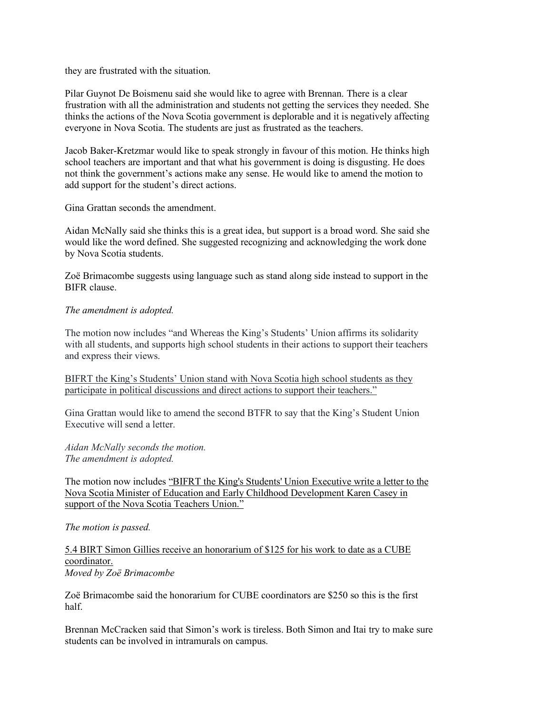they are frustrated with the situation.

Pilar Guynot De Boismenu said she would like to agree with Brennan. There is a clear frustration with all the administration and students not getting the services they needed. She thinks the actions of the Nova Scotia government is deplorable and it is negatively affecting everyone in Nova Scotia. The students are just as frustrated as the teachers.

Jacob Baker-Kretzmar would like to speak strongly in favour of this motion. He thinks high school teachers are important and that what his government is doing is disgusting. He does not think the government's actions make any sense. He would like to amend the motion to add support for the student's direct actions.

Gina Grattan seconds the amendment.

Aidan McNally said she thinks this is a great idea, but support is a broad word. She said she would like the word defined. She suggested recognizing and acknowledging the work done by Nova Scotia students.

Zoë Brimacombe suggests using language such as stand along side instead to support in the BIFR clause.

## *The amendment is adopted.*

The motion now includes "and Whereas the King's Students' Union affirms its solidarity with all students, and supports high school students in their actions to support their teachers and express their views.

BIFRT the King's Students' Union stand with Nova Scotia high school students as they participate in political discussions and direct actions to support their teachers."

Gina Grattan would like to amend the second BTFR to say that the King's Student Union Executive will send a letter.

*Aidan McNally seconds the motion. The amendment is adopted.*

The motion now includes "BIFRT the King's Students' Union Executive write a letter to the Nova Scotia Minister of Education and Early Childhood Development Karen Casey in support of the Nova Scotia Teachers Union."

*The motion is passed.*

5.4 BIRT Simon Gillies receive an honorarium of \$125 for his work to date as a CUBE coordinator. *Moved by Zoë Brimacombe*

Zoë Brimacombe said the honorarium for CUBE coordinators are \$250 so this is the first half.

Brennan McCracken said that Simon's work is tireless. Both Simon and Itai try to make sure students can be involved in intramurals on campus.